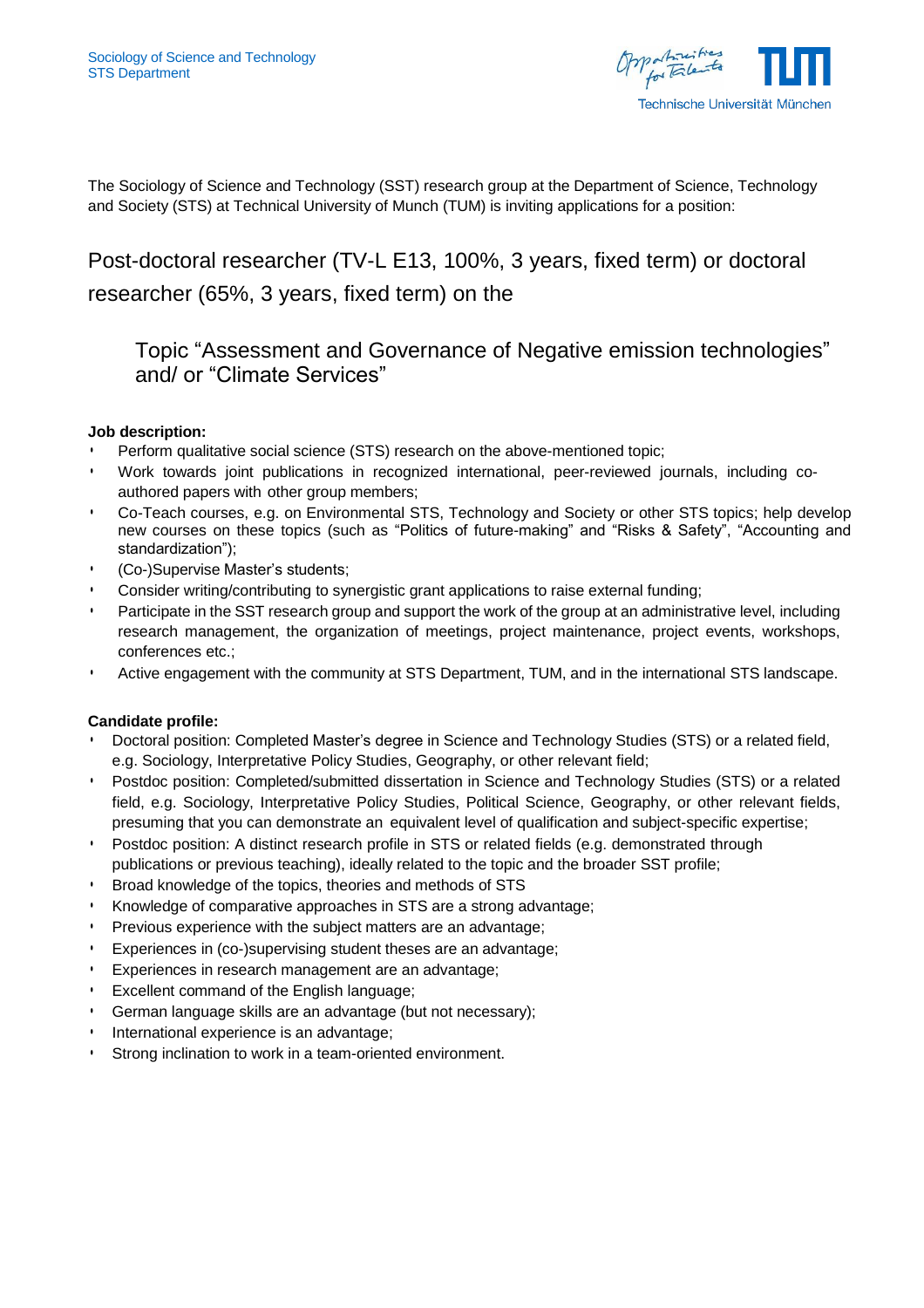

The Sociology of Science and Technology (SST) research group at the Department of Science, Technology and Society (STS) at Technical University of Munch (TUM) is inviting applications for a position:

# Post-doctoral researcher (TV-L E13, 100%, 3 years, fixed term) or doctoral researcher (65%, 3 years, fixed term) on the

# Topic "Assessment and Governance of Negative emission technologies" and/ or "Climate Services"

## **Job description:**

- Perform qualitative social science (STS) research on the above-mentioned topic;
- Work towards joint publications in recognized international, peer-reviewed journals, including coauthored papers with other group members;
- Co-Teach courses, e.g. on Environmental STS, Technology and Society or other STS topics; help develop new courses on these topics (such as "Politics of future-making" and "Risks & Safety", "Accounting and standardization");
- (Co-)Supervise Master's students;
- Consider writing/contributing to synergistic grant applications to raise external funding;
- Participate in the SST research group and support the work of the group at an administrative level, including research management, the organization of meetings, project maintenance, project events, workshops, conferences etc.;
- Active engagement with the community at STS Department, TUM, and in the international STS landscape.

#### **Candidate profile:**

- Doctoral position: Completed Master's degree in Science and Technology Studies (STS) or a related field, e.g. Sociology, Interpretative Policy Studies, Geography, or other relevant field;
- Postdoc position: Completed/submitted dissertation in Science and Technology Studies (STS) or a related field, e.g. Sociology, Interpretative Policy Studies, Political Science, Geography, or other relevant fields, presuming that you can demonstrate an equivalent level of qualification and subject-specific expertise;
- Postdoc position: A distinct research profile in STS or related fields (e.g. demonstrated through publications or previous teaching), ideally related to the topic and the broader SST profile;
- Broad knowledge of the topics, theories and methods of STS
- Knowledge of comparative approaches in STS are a strong advantage;
- Previous experience with the subject matters are an advantage;
- Experiences in (co-)supervising student theses are an advantage;
- Experiences in research management are an advantage;
- Excellent command of the English language;
- German language skills are an advantage (but not necessary);
- International experience is an advantage;
- Strong inclination to work in a team-oriented environment.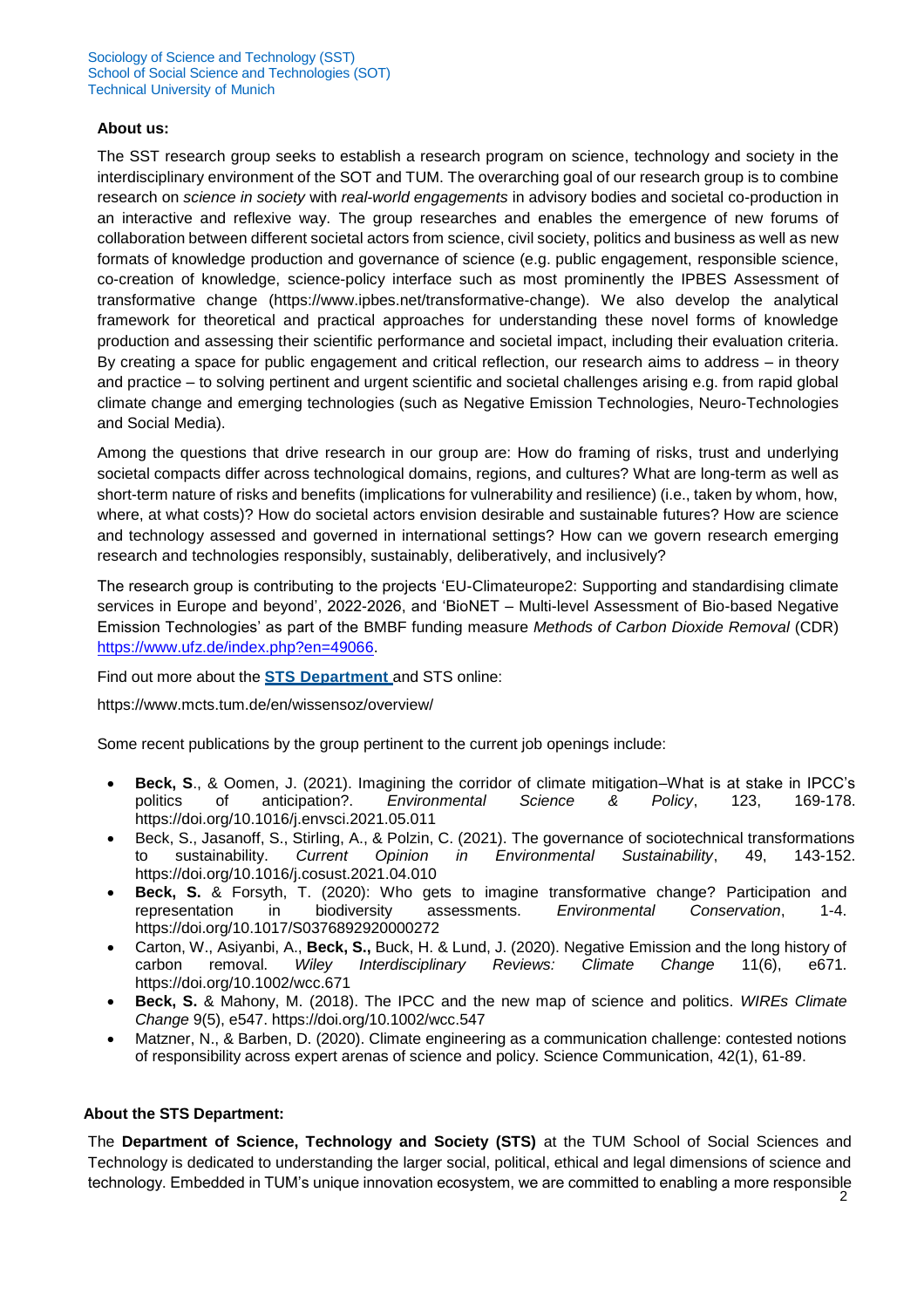#### **About us:**

The SST research group seeks to establish a research program on science, technology and society in the interdisciplinary environment of the SOT and TUM. The overarching goal of our research group is to combine research on *science in society* with *real-world engagements* in advisory bodies and societal co-production in an interactive and reflexive way. The group researches and enables the emergence of new forums of collaboration between different societal actors from science, civil society, politics and business as well as new formats of knowledge production and governance of science (e.g. public engagement, responsible science, co-creation of knowledge, science-policy interface such as most prominently the IPBES Assessment of transformative change [\(https://www.ipbes.net/transformative-change\)](https://www.ipbes.net/transformative-change). We also develop the analytical framework for theoretical and practical approaches for understanding these novel forms of knowledge production and assessing their scientific performance and societal impact, including their evaluation criteria. By creating a space for public engagement and critical reflection, our research aims to address – in theory and practice – to solving pertinent and urgent scientific and societal challenges arising e.g. from rapid global climate change and emerging technologies (such as Negative Emission Technologies, Neuro-Technologies and Social Media).

Among the questions that drive research in our group are: How do framing of risks, trust and underlying societal compacts differ across technological domains, regions, and cultures? What are long-term as well as short-term nature of risks and benefits (implications for vulnerability and resilience) (i.e., taken by whom, how, where, at what costs)? How do societal actors envision desirable and sustainable futures? How are science and technology assessed and governed in international settings? How can we govern research emerging research and technologies responsibly, sustainably, deliberatively, and inclusively?

The research group is contributing to the projects 'EU-Climateurope2: Supporting and standardising climate services in Europe and beyond', 2022-2026, and 'BioNET – Multi-level Assessment of Bio-based Negative Emission Technologies' as part of the BMBF funding measure *Methods of Carbon Dioxide Removal* (CDR) [https://www.ufz.de/index.php?en=49066.](https://www.ufz.de/index.php?en=49066)

Find out more about the **STS Department** and STS online:

https://www.mcts.tum.de/en/wissensoz/overview/

Some recent publications by the group pertinent to the current job openings include:

- **Beck, S**., & Oomen, J. (2021). Imagining the corridor of climate mitigation–What is at stake in IPCC's politics of anticipation?. *Environmental Science & Policy*, 123, 169-178. <https://doi.org/10.1016/j.envsci.2021.05.011>
- Beck, S., Jasanoff, S., Stirling, A., & Polzin, C. (2021). The governance of sociotechnical transformations to sustainability. *Current Opinion in Environmental Sustainability*, 49, 143-152. <https://doi.org/10.1016/j.cosust.2021.04.010>
- **Beck, S.** & Forsyth, T. (2020): Who gets to imagine transformative change? Participation and representation in biodiversity assessments. *Environmental Conservation*, 1-4. <https://doi.org/10.1017/S0376892920000272>
- Carton, W., Asiyanbi, A., **Beck, S.,** Buck, H. & Lund, J. (2020). Negative Emission and the long history of carbon removal. *Wiley Interdisciplinary Reviews: Climate Change* 11(6), e671. https://doi.org/10.1002/wcc.671
- **Beck, S.** & Mahony, M. (2018). The IPCC and the new map of science and politics. *WIREs Climate Change* 9(5), e547. https://doi.org/10.1002/wcc.547
- Matzner, N., & Barben, D. (2020). Climate engineering as a communication challenge: contested notions of responsibility across expert arenas of science and policy. Science Communication, 42(1), 61-89.

#### **About the STS Department:**

The **Department of Science, Technology and Society (STS)** at the TUM School of Social Sciences and Technology is dedicated to understanding the larger social, political, ethical and legal dimensions of science and technology. Embedded in TUM's unique innovation ecosystem, we are committed to enabling a more responsible